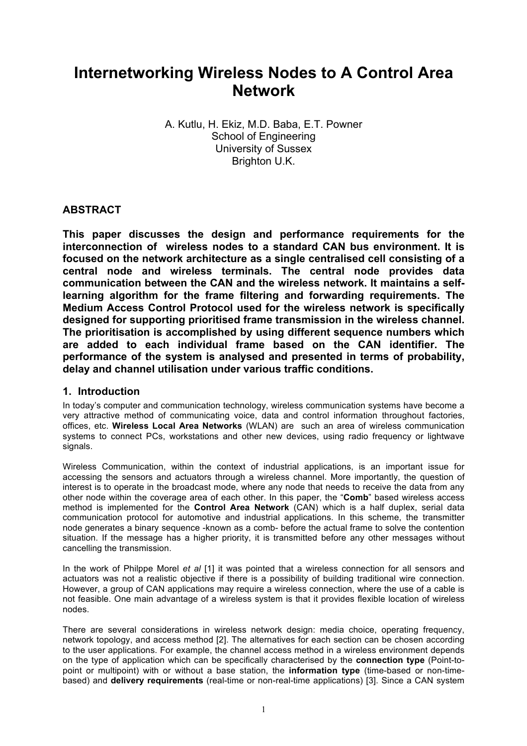# **Internetworking Wireless Nodes to A Control Area Network**

A. Kutlu, H. Ekiz, M.D. Baba, E.T. Powner School of Engineering University of Sussex Brighton U.K.

## **ABSTRACT**

**This paper discusses the design and performance requirements for the interconnection of wireless nodes to a standard CAN bus environment. It is focused on the network architecture as a single centralised cell consisting of a central node and wireless terminals. The central node provides data communication between the CAN and the wireless network. It maintains a selflearning algorithm for the frame filtering and forwarding requirements. The Medium Access Control Protocol used for the wireless network is specifically designed for supporting prioritised frame transmission in the wireless channel. The prioritisation is accomplished by using different sequence numbers which are added to each individual frame based on the CAN identifier. The performance of the system is analysed and presented in terms of probability, delay and channel utilisation under various traffic conditions.** 

### **1. Introduction**

In today's computer and communication technology, wireless communication systems have become a very attractive method of communicating voice, data and control information throughout factories, offices, etc. **Wireless Local Area Networks** (WLAN) are such an area of wireless communication systems to connect PCs, workstations and other new devices, using radio frequency or lightwave signals.

Wireless Communication, within the context of industrial applications, is an important issue for accessing the sensors and actuators through a wireless channel. More importantly, the question of interest is to operate in the broadcast mode, where any node that needs to receive the data from any other node within the coverage area of each other. In this paper, the "**Comb**" based wireless access method is implemented for the **Control Area Network** (CAN) which is a half duplex, serial data communication protocol for automotive and industrial applications. In this scheme, the transmitter node generates a binary sequence -known as a comb- before the actual frame to solve the contention situation. If the message has a higher priority, it is transmitted before any other messages without cancelling the transmission.

In the work of Philppe Morel *et al* [1] it was pointed that a wireless connection for all sensors and actuators was not a realistic objective if there is a possibility of building traditional wire connection. However, a group of CAN applications may require a wireless connection, where the use of a cable is not feasible. One main advantage of a wireless system is that it provides flexible location of wireless nodes.

There are several considerations in wireless network design: media choice, operating frequency, network topology, and access method [2]. The alternatives for each section can be chosen according to the user applications. For example, the channel access method in a wireless environment depends on the type of application which can be specifically characterised by the **connection type** (Point-topoint or multipoint) with or without a base station, the **information type** (time-based or non-timebased) and **delivery requirements** (real-time or non-real-time applications) [3]. Since a CAN system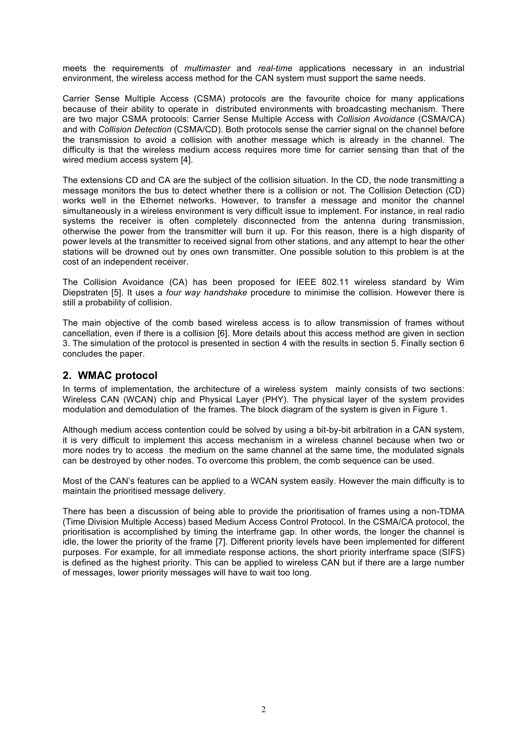meets the requirements of *multimaster* and *real-time* applications necessary in an industrial environment, the wireless access method for the CAN system must support the same needs.

Carrier Sense Multiple Access (CSMA) protocols are the favourite choice for many applications because of their ability to operate in distributed environments with broadcasting mechanism. There are two major CSMA protocols: Carrier Sense Multiple Access with *Collision Avoidance* (CSMA/CA) and with *Collision Detection* (CSMA/CD). Both protocols sense the carrier signal on the channel before the transmission to avoid a collision with another message which is already in the channel. The difficulty is that the wireless medium access requires more time for carrier sensing than that of the wired medium access system [4].

The extensions CD and CA are the subject of the collision situation. In the CD, the node transmitting a message monitors the bus to detect whether there is a collision or not. The Collision Detection (CD) works well in the Ethernet networks. However, to transfer a message and monitor the channel simultaneously in a wireless environment is very difficult issue to implement. For instance, in real radio systems the receiver is often completely disconnected from the antenna during transmission, otherwise the power from the transmitter will burn it up. For this reason, there is a high disparity of power levels at the transmitter to received signal from other stations, and any attempt to hear the other stations will be drowned out by ones own transmitter. One possible solution to this problem is at the cost of an independent receiver.

The Collision Avoidance (CA) has been proposed for IEEE 802.11 wireless standard by Wim Diepstraten [5]. It uses a *four way handshake* procedure to minimise the collision. However there is still a probability of collision.

The main objective of the comb based wireless access is to allow transmission of frames without cancellation, even if there is a collision [6]. More details about this access method are given in section 3. The simulation of the protocol is presented in section 4 with the results in section 5. Finally section 6 concludes the paper.

### **2. WMAC protocol**

In terms of implementation, the architecture of a wireless system mainly consists of two sections: Wireless CAN (WCAN) chip and Physical Layer (PHY). The physical layer of the system provides modulation and demodulation of the frames. The block diagram of the system is given in Figure 1.

Although medium access contention could be solved by using a bit-by-bit arbitration in a CAN system, it is very difficult to implement this access mechanism in a wireless channel because when two or more nodes try to access the medium on the same channel at the same time, the modulated signals can be destroyed by other nodes. To overcome this problem, the comb sequence can be used.

Most of the CAN's features can be applied to a WCAN system easily. However the main difficulty is to maintain the prioritised message delivery.

There has been a discussion of being able to provide the prioritisation of frames using a non-TDMA (Time Division Multiple Access) based Medium Access Control Protocol. In the CSMA/CA protocol, the prioritisation is accomplished by timing the interframe gap. In other words, the longer the channel is idle, the lower the priority of the frame [7]. Different priority levels have been implemented for different purposes. For example, for all immediate response actions, the short priority interframe space (SIFS) is defined as the highest priority. This can be applied to wireless CAN but if there are a large number of messages, lower priority messages will have to wait too long.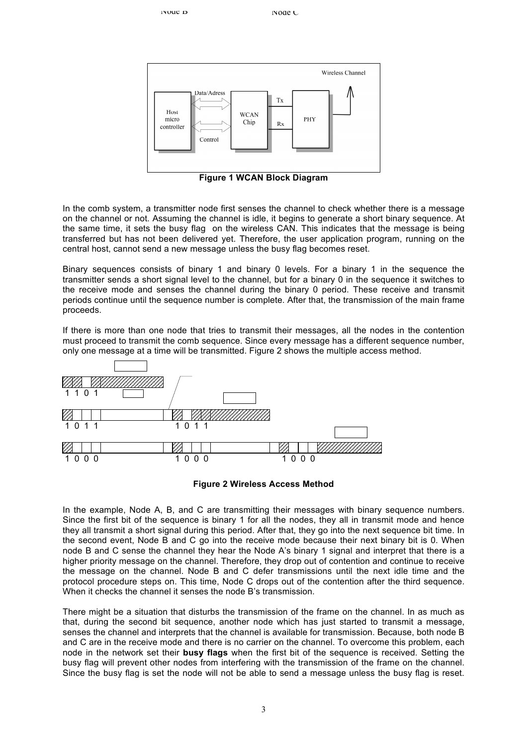Frame



**Figure 1 WCAN Block Diagram**

In the comb system, a transmitter node first senses the channel to check whether there is a message on the channel or not. Assuming the channel is idle, it begins to generate a short binary sequence. At the same time, it sets the busy flag on the wireless CAN. This indicates that the message is being transferred but has not been delivered yet. Therefore, the user application program, running on the central host, cannot send a new message unless the busy flag becomes reset.

Binary sequences consists of binary 1 and binary 0 levels. For a binary 1 in the sequence the transmitter sends a short signal level to the channel, but for a binary 0 in the sequence it switches to the receive mode and senses the channel during the binary 0 period. These receive and transmit periods continue until the sequence number is complete. After that, the transmission of the main frame proceeds.

If there is more than one node that tries to transmit their messages, all the nodes in the contention must proceed to transmit the comb sequence. Since every message has a different sequence number, only one message at a time will be transmitted. Figure 2 shows the multiple access method.





In the example, Node A, B, and C are transmitting their messages with binary sequence numbers. Since the first bit of the sequence is binary 1 for all the nodes, they all in transmit mode and hence they all transmit a short signal during this period. After that, they go into the next sequence bit time. In the second event, Node B and C go into the receive mode because their next binary bit is 0. When node B and C sense the channel they hear the Node A's binary 1 signal and interpret that there is a higher priority message on the channel. Therefore, they drop out of contention and continue to receive the message on the channel. Node B and C defer transmissions until the next idle time and the protocol procedure steps on. This time, Node C drops out of the contention after the third sequence. When it checks the channel it senses the node B's transmission.

There might be a situation that disturbs the transmission of the frame on the channel. In as much as that, during the second bit sequence, another node which has just started to transmit a message, senses the channel and interprets that the channel is available for transmission. Because, both node B and C are in the receive mode and there is no carrier on the channel. To overcome this problem, each node in the network set their **busy flags** when the first bit of the sequence is received. Setting the busy flag will prevent other nodes from interfering with the transmission of the frame on the channel. Since the busy flag is set the node will not be able to send a message unless the busy flag is reset.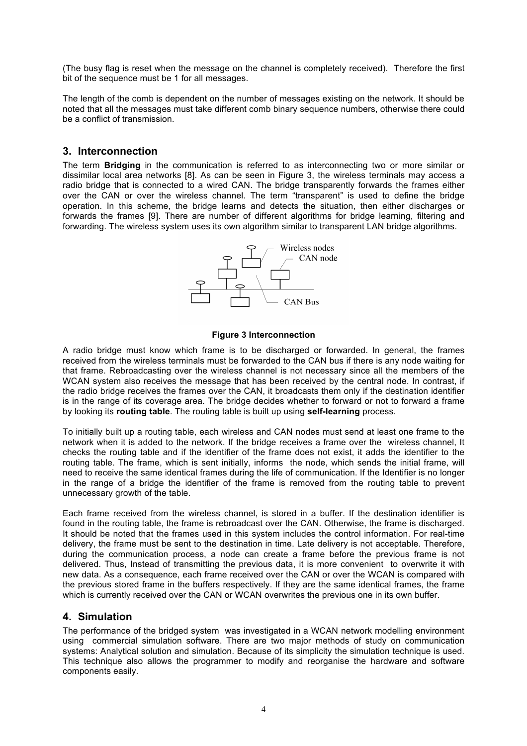(The busy flag is reset when the message on the channel is completely received). Therefore the first bit of the sequence must be 1 for all messages.

The length of the comb is dependent on the number of messages existing on the network. It should be noted that all the messages must take different comb binary sequence numbers, otherwise there could be a conflict of transmission.

#### **3. Interconnection**

The term **Bridging** in the communication is referred to as interconnecting two or more similar or dissimilar local area networks [8]. As can be seen in Figure 3, the wireless terminals may access a radio bridge that is connected to a wired CAN. The bridge transparently forwards the frames either over the CAN or over the wireless channel. The term "transparent" is used to define the bridge operation. In this scheme, the bridge learns and detects the situation, then either discharges or forwards the frames [9]. There are number of different algorithms for bridge learning, filtering and forwarding. The wireless system uses its own algorithm similar to transparent LAN bridge algorithms.



#### **Figure 3 Interconnection**

A radio bridge must know which frame is to be discharged or forwarded. In general, the frames received from the wireless terminals must be forwarded to the CAN bus if there is any node waiting for that frame. Rebroadcasting over the wireless channel is not necessary since all the members of the WCAN system also receives the message that has been received by the central node. In contrast, if the radio bridge receives the frames over the CAN, it broadcasts them only if the destination identifier is in the range of its coverage area. The bridge decides whether to forward or not to forward a frame by looking its **routing table**. The routing table is built up using **self-learning** process.

To initially built up a routing table, each wireless and CAN nodes must send at least one frame to the network when it is added to the network. If the bridge receives a frame over the wireless channel, It checks the routing table and if the identifier of the frame does not exist, it adds the identifier to the routing table. The frame, which is sent initially, informs the node, which sends the initial frame, will need to receive the same identical frames during the life of communication. If the Identifier is no longer in the range of a bridge the identifier of the frame is removed from the routing table to prevent unnecessary growth of the table.

Each frame received from the wireless channel, is stored in a buffer. If the destination identifier is found in the routing table, the frame is rebroadcast over the CAN. Otherwise, the frame is discharged. It should be noted that the frames used in this system includes the control information. For real-time delivery, the frame must be sent to the destination in time. Late delivery is not acceptable. Therefore, during the communication process, a node can create a frame before the previous frame is not delivered. Thus, Instead of transmitting the previous data, it is more convenient to overwrite it with new data. As a consequence, each frame received over the CAN or over the WCAN is compared with the previous stored frame in the buffers respectively. If they are the same identical frames, the frame which is currently received over the CAN or WCAN overwrites the previous one in its own buffer.

### **4. Simulation**

The performance of the bridged system was investigated in a WCAN network modelling environment using commercial simulation software. There are two major methods of study on communication systems: Analytical solution and simulation. Because of its simplicity the simulation technique is used. This technique also allows the programmer to modify and reorganise the hardware and software components easily.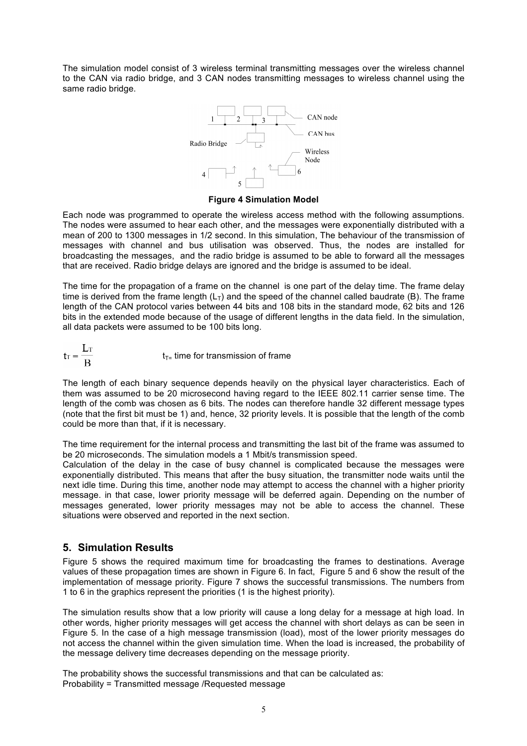The simulation model consist of 3 wireless terminal transmitting messages over the wireless channel to the CAN via radio bridge, and 3 CAN nodes transmitting messages to wireless channel using the same radio bridge.



#### **Figure 4 Simulation Model**

Each node was programmed to operate the wireless access method with the following assumptions. The nodes were assumed to hear each other, and the messages were exponentially distributed with a mean of 200 to 1300 messages in 1/2 second. In this simulation, The behaviour of the transmission of messages with channel and bus utilisation was observed. Thus, the nodes are installed for broadcasting the messages, and the radio bridge is assumed to be able to forward all the messages that are received. Radio bridge delays are ignored and the bridge is assumed to be ideal.

The time for the propagation of a frame on the channel is one part of the delay time. The frame delay time is derived from the frame length  $(L_T)$  and the speed of the channel called baudrate (B). The frame length of the CAN protocol varies between 44 bits and 108 bits in the standard mode, 62 bits and 126 bits in the extended mode because of the usage of different lengths in the data field. In the simulation, all data packets were assumed to be 100 bits long.

 $t_T = \frac{L_T}{R}$  $t<sub>T</sub>$ - time for transmission of frame

The length of each binary sequence depends heavily on the physical layer characteristics. Each of them was assumed to be 20 microsecond having regard to the IEEE 802.11 carrier sense time. The length of the comb was chosen as 6 bits. The nodes can therefore handle 32 different message types (note that the first bit must be 1) and, hence, 32 priority levels. It is possible that the length of the comb could be more than that, if it is necessary.

The time requirement for the internal process and transmitting the last bit of the frame was assumed to be 20 microseconds. The simulation models a 1 Mbit/s transmission speed.

Calculation of the delay in the case of busy channel is complicated because the messages were exponentially distributed. This means that after the busy situation, the transmitter node waits until the next idle time. During this time, another node may attempt to access the channel with a higher priority message. in that case, lower priority message will be deferred again. Depending on the number of messages generated, lower priority messages may not be able to access the channel. These situations were observed and reported in the next section.

## **5. Simulation Results**

Figure 5 shows the required maximum time for broadcasting the frames to destinations. Average values of these propagation times are shown in Figure 6. In fact, Figure 5 and 6 show the result of the implementation of message priority. Figure 7 shows the successful transmissions. The numbers from 1 to 6 in the graphics represent the priorities (1 is the highest priority).

The simulation results show that a low priority will cause a long delay for a message at high load. In other words, higher priority messages will get access the channel with short delays as can be seen in Figure 5. In the case of a high message transmission (load), most of the lower priority messages do not access the channel within the given simulation time. When the load is increased, the probability of the message delivery time decreases depending on the message priority.

The probability shows the successful transmissions and that can be calculated as: Probability = Transmitted message /Requested message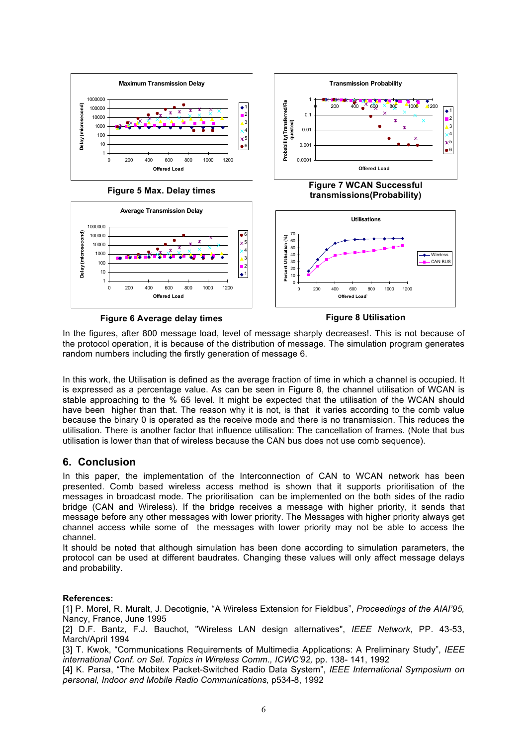

**Figure 6 Average delay times**

**Figure 8 Utilisation**

In the figures, after 800 message load, level of message sharply decreases!. This is not because of the protocol operation, it is because of the distribution of message. The simulation program generates random numbers including the firstly generation of message 6.

In this work, the Utilisation is defined as the average fraction of time in which a channel is occupied. It is expressed as a percentage value. As can be seen in Figure 8, the channel utilisation of WCAN is stable approaching to the % 65 level. It might be expected that the utilisation of the WCAN should have been higher than that. The reason why it is not, is that it varies according to the comb value because the binary 0 is operated as the receive mode and there is no transmission. This reduces the utilisation. There is another factor that influence utilisation: The cancellation of frames. (Note that bus utilisation is lower than that of wireless because the CAN bus does not use comb sequence).

### **6. Conclusion**

In this paper, the implementation of the Interconnection of CAN to WCAN network has been presented. Comb based wireless access method is shown that it supports prioritisation of the messages in broadcast mode. The prioritisation can be implemented on the both sides of the radio bridge (CAN and Wireless). If the bridge receives a message with higher priority, it sends that message before any other messages with lower priority. The Messages with higher priority always get channel access while some of the messages with lower priority may not be able to access the channel.

It should be noted that although simulation has been done according to simulation parameters, the protocol can be used at different baudrates. Changing these values will only affect message delays and probability.

#### **References:**

[1] P. Morel, R. Muralt, J. Decotignie, "A Wireless Extension for Fieldbus", *Proceedings of the AIAI'95,*  Nancy, France, June 1995

[2] D.F. Bantz, F.J. Bauchot, "Wireless LAN design alternatives", *IEEE Network*, PP. 43-53, March/April 1994

[3] T. Kwok, "Communications Requirements of Multimedia Applications: A Preliminary Study", *IEEE international Conf. on Sel. Topics in Wireless Comm., ICWC'92,* pp. 138- 141, 1992

[4] K. Parsa, "The Mobitex Packet-Switched Radio Data System", *IEEE International Symposium on personal, Indoor and Mobile Radio Communications,* p534-8, 1992